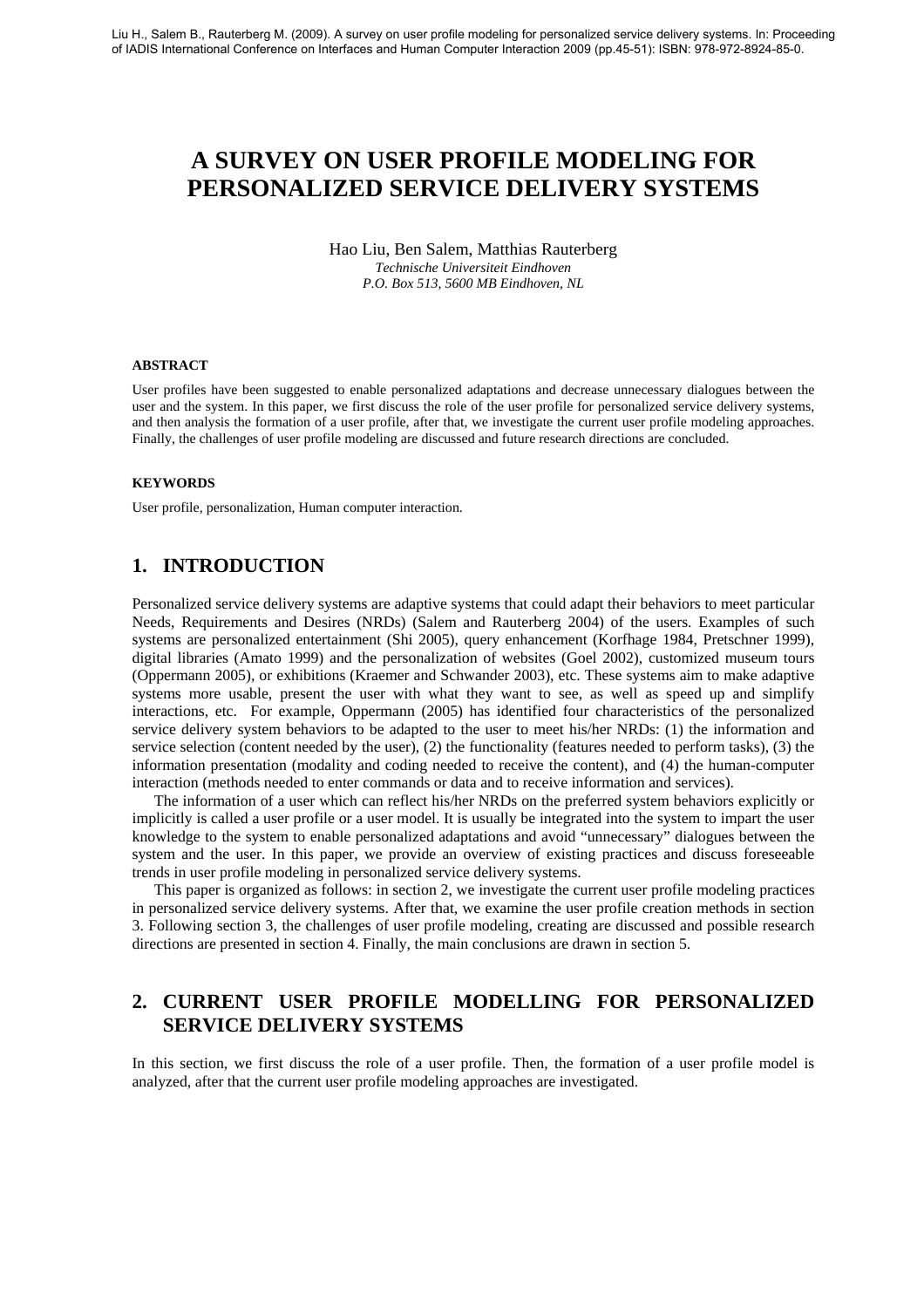# **A SURVEY ON USER PROFILE MODELING FOR PERSONALIZED SERVICE DELIVERY SYSTEMS**

Hao Liu, Ben Salem, Matthias Rauterberg *Technische Universiteit Eindhoven P.O. Box 513, 5600 MB Eindhoven, NL* 

#### **ABSTRACT**

User profiles have been suggested to enable personalized adaptations and decrease unnecessary dialogues between the user and the system. In this paper, we first discuss the role of the user profile for personalized service delivery systems, and then analysis the formation of a user profile, after that, we investigate the current user profile modeling approaches. Finally, the challenges of user profile modeling are discussed and future research directions are concluded.

#### **KEYWORDS**

User profile, personalization, Human computer interaction.

### **1. INTRODUCTION**

Personalized service delivery systems are adaptive systems that could adapt their behaviors to meet particular Needs, Requirements and Desires (NRDs) (Salem and Rauterberg 2004) of the users. Examples of such systems are personalized entertainment (Shi 2005), query enhancement (Korfhage 1984, Pretschner 1999), digital libraries (Amato 1999) and the personalization of websites (Goel 2002), customized museum tours (Oppermann 2005), or exhibitions (Kraemer and Schwander 2003), etc. These systems aim to make adaptive systems more usable, present the user with what they want to see, as well as speed up and simplify interactions, etc. For example, Oppermann (2005) has identified four characteristics of the personalized service delivery system behaviors to be adapted to the user to meet his/her NRDs: (1) the information and service selection (content needed by the user), (2) the functionality (features needed to perform tasks), (3) the information presentation (modality and coding needed to receive the content), and (4) the human-computer interaction (methods needed to enter commands or data and to receive information and services).

The information of a user which can reflect his/her NRDs on the preferred system behaviors explicitly or implicitly is called a user profile or a user model. It is usually be integrated into the system to impart the user knowledge to the system to enable personalized adaptations and avoid "unnecessary" dialogues between the system and the user. In this paper, we provide an overview of existing practices and discuss foreseeable trends in user profile modeling in personalized service delivery systems.

This paper is organized as follows: in section 2, we investigate the current user profile modeling practices in personalized service delivery systems. After that, we examine the user profile creation methods in section 3. Following section 3, the challenges of user profile modeling, creating are discussed and possible research directions are presented in section 4. Finally, the main conclusions are drawn in section 5.

## **2. CURRENT USER PROFILE MODELLING FOR PERSONALIZED SERVICE DELIVERY SYSTEMS**

In this section, we first discuss the role of a user profile. Then, the formation of a user profile model is analyzed, after that the current user profile modeling approaches are investigated.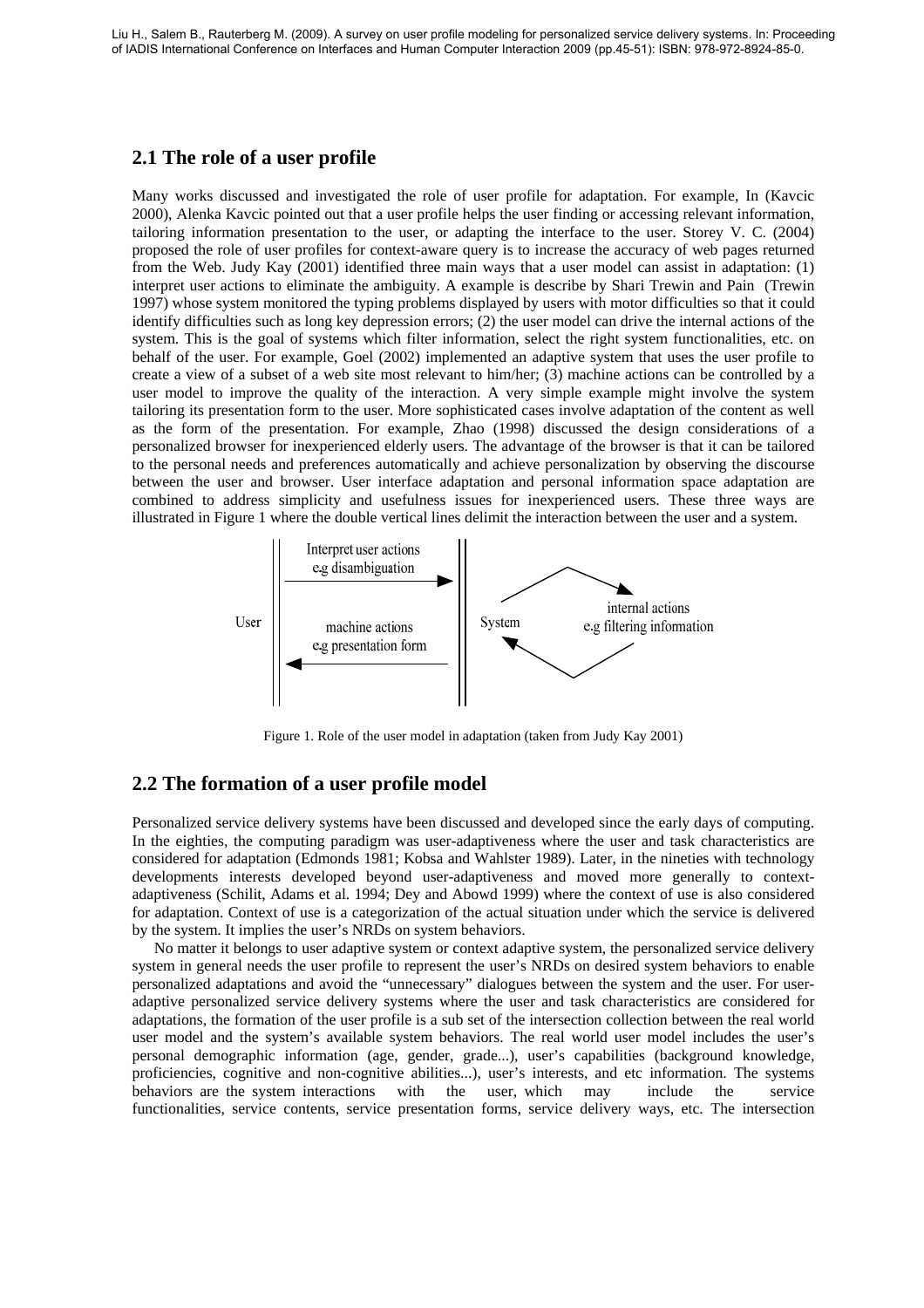### **2.1 The role of a user profile**

Many works discussed and investigated the role of user profile for adaptation. For example, In (Kavcic 2000), Alenka Kavcic pointed out that a user profile helps the user finding or accessing relevant information, tailoring information presentation to the user, or adapting the interface to the user. Storey V. C. (2004) proposed the role of user profiles for context-aware query is to increase the accuracy of web pages returned from the Web. Judy Kay (2001) identified three main ways that a user model can assist in adaptation: (1) interpret user actions to eliminate the ambiguity. A example is describe by Shari Trewin and Pain (Trewin 1997) whose system monitored the typing problems displayed by users with motor difficulties so that it could identify difficulties such as long key depression errors; (2) the user model can drive the internal actions of the system. This is the goal of systems which filter information, select the right system functionalities, etc. on behalf of the user. For example, Goel (2002) implemented an adaptive system that uses the user profile to create a view of a subset of a web site most relevant to him/her; (3) machine actions can be controlled by a user model to improve the quality of the interaction. A very simple example might involve the system tailoring its presentation form to the user. More sophisticated cases involve adaptation of the content as well as the form of the presentation. For example, Zhao (1998) discussed the design considerations of a personalized browser for inexperienced elderly users. The advantage of the browser is that it can be tailored to the personal needs and preferences automatically and achieve personalization by observing the discourse between the user and browser. User interface adaptation and personal information space adaptation are combined to address simplicity and usefulness issues for inexperienced users. These three ways are illustrated in Figure 1 where the double vertical lines delimit the interaction between the user and a system.



Figure 1. Role of the user model in adaptation (taken from Judy Kay 2001)

#### **2.2 The formation of a user profile model**

Personalized service delivery systems have been discussed and developed since the early days of computing. In the eighties, the computing paradigm was user-adaptiveness where the user and task characteristics are considered for adaptation (Edmonds 1981; Kobsa and Wahlster 1989). Later, in the nineties with technology developments interests developed beyond user-adaptiveness and moved more generally to contextadaptiveness (Schilit, Adams et al. 1994; Dey and Abowd 1999) where the context of use is also considered for adaptation. Context of use is a categorization of the actual situation under which the service is delivered by the system. It implies the user's NRDs on system behaviors.

No matter it belongs to user adaptive system or context adaptive system, the personalized service delivery system in general needs the user profile to represent the user's NRDs on desired system behaviors to enable personalized adaptations and avoid the "unnecessary" dialogues between the system and the user. For useradaptive personalized service delivery systems where the user and task characteristics are considered for adaptations, the formation of the user profile is a sub set of the intersection collection between the real world user model and the system's available system behaviors. The real world user model includes the user's personal demographic information (age, gender, grade...), user's capabilities (background knowledge, proficiencies, cognitive and non-cognitive abilities...), user's interests, and etc information. The systems behaviors are the system interactions with the user, which may include the service functionalities, service contents, service presentation forms, service delivery ways, etc. The intersection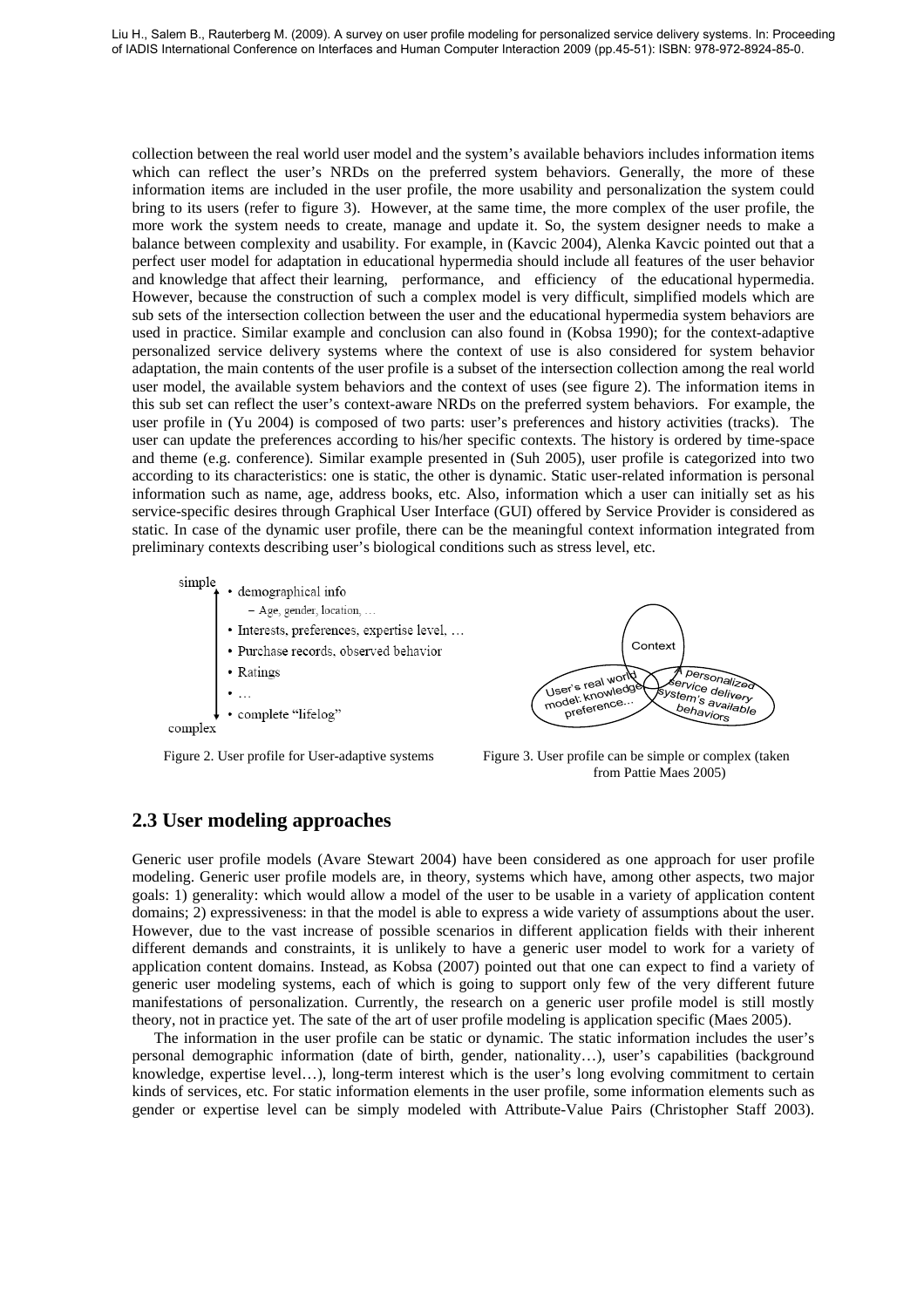collection between the real world user model and the system's available behaviors includes information items which can reflect the user's NRDs on the preferred system behaviors. Generally, the more of these information items are included in the user profile, the more usability and personalization the system could bring to its users (refer to figure 3). However, at the same time, the more complex of the user profile, the more work the system needs to create, manage and update it. So, the system designer needs to make a balance between complexity and usability. For example, in (Kavcic 2004), Alenka Kavcic pointed out that a perfect user model for adaptation in educational hypermedia should include all features of the user behavior and knowledge that affect their learning, performance, and efficiency of the educational hypermedia. However, because the construction of such a complex model is very difficult, simplified models which are sub sets of the intersection collection between the user and the educational hypermedia system behaviors are used in practice. Similar example and conclusion can also found in (Kobsa 1990); for the context-adaptive personalized service delivery systems where the context of use is also considered for system behavior adaptation, the main contents of the user profile is a subset of the intersection collection among the real world user model, the available system behaviors and the context of uses (see figure 2). The information items in this sub set can reflect the user's context-aware NRDs on the preferred system behaviors. For example, the user profile in (Yu 2004) is composed of two parts: user's preferences and history activities (tracks). The user can update the preferences according to his/her specific contexts. The history is ordered by time-space and theme (e.g. conference). Similar example presented in (Suh 2005), user profile is categorized into two according to its characteristics: one is static, the other is dynamic. Static user-related information is personal information such as name, age, address books, etc. Also, information which a user can initially set as his service-specific desires through Graphical User Interface (GUI) offered by Service Provider is considered as static. In case of the dynamic user profile, there can be the meaningful context information integrated from preliminary contexts describing user's biological conditions such as stress level, etc.

simple · demographical info - Age, gender, location, ... · Interests, preferences, expertise level, ... · Purchase records, observed behavior • Ratings complete "lifelog" complex





from Pattie Maes 2005)

### **2.3 User modeling approaches**

Generic user profile models (Avare Stewart 2004) have been considered as one approach for user profile modeling. Generic user profile models are, in theory, systems which have, among other aspects, two major goals: 1) generality: which would allow a model of the user to be usable in a variety of application content domains; 2) expressiveness: in that the model is able to express a wide variety of assumptions about the user. However, due to the vast increase of possible scenarios in different application fields with their inherent different demands and constraints, it is unlikely to have a generic user model to work for a variety of application content domains. Instead, as Kobsa (2007) pointed out that one can expect to find a variety of generic user modeling systems, each of which is going to support only few of the very different future manifestations of personalization. Currently, the research on a generic user profile model is still mostly theory, not in practice yet. The sate of the art of user profile modeling is application specific (Maes 2005).

The information in the user profile can be static or dynamic. The static information includes the user's personal demographic information (date of birth, gender, nationality…), user's capabilities (background knowledge, expertise level…), long-term interest which is the user's long evolving commitment to certain kinds of services, etc. For static information elements in the user profile, some information elements such as gender or expertise level can be simply modeled with Attribute-Value Pairs (Christopher Staff 2003).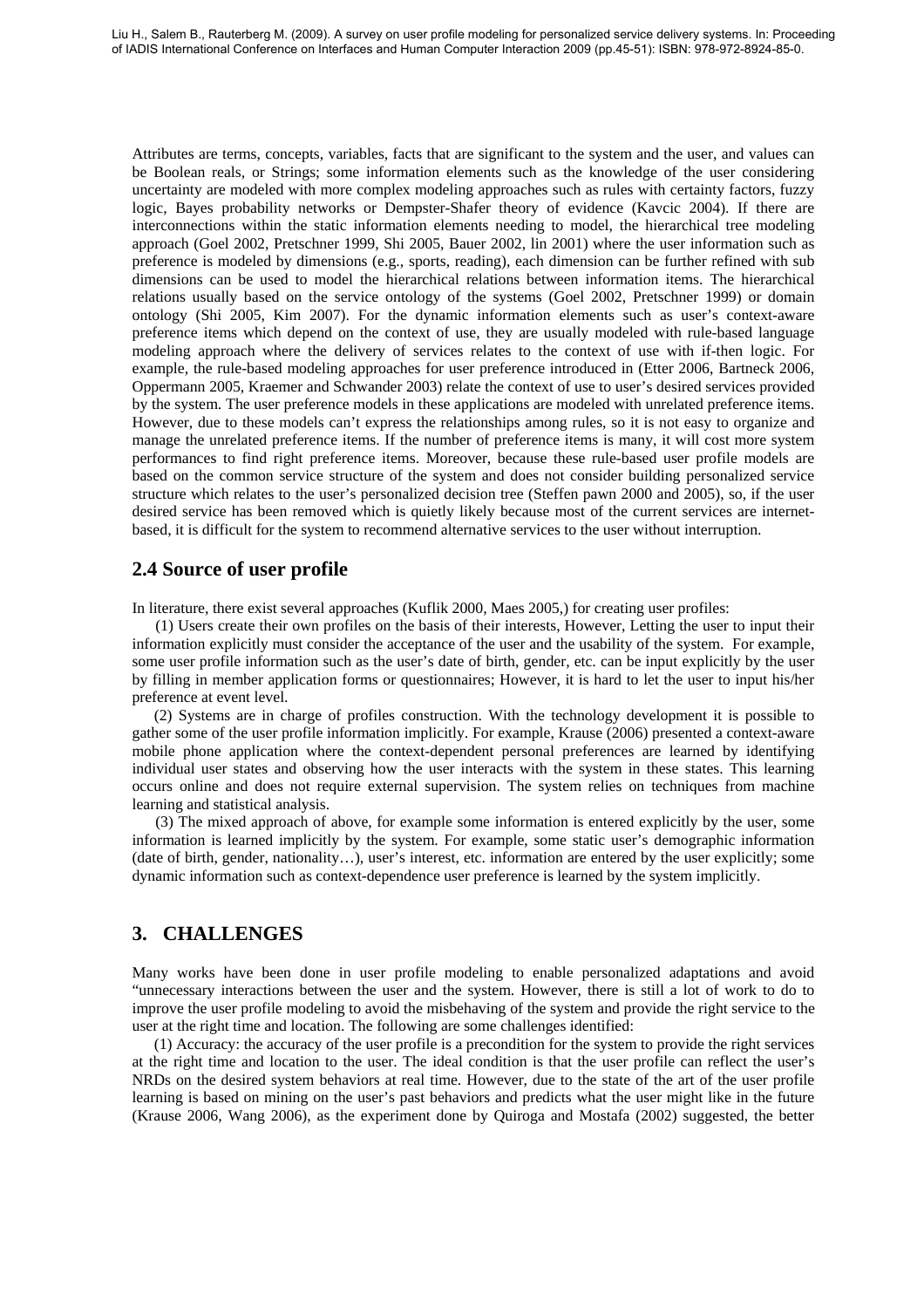Attributes are terms, concepts, variables, facts that are significant to the system and the user, and values can be Boolean reals, or Strings; some information elements such as the knowledge of the user considering uncertainty are modeled with more complex modeling approaches such as rules with certainty factors, fuzzy logic, Bayes probability networks or Dempster-Shafer theory of evidence (Kavcic 2004). If there are interconnections within the static information elements needing to model, the hierarchical tree modeling approach (Goel 2002, Pretschner 1999, Shi 2005, Bauer 2002, lin 2001) where the user information such as preference is modeled by dimensions (e.g., sports, reading), each dimension can be further refined with sub dimensions can be used to model the hierarchical relations between information items. The hierarchical relations usually based on the service ontology of the systems (Goel 2002, Pretschner 1999) or domain ontology (Shi 2005, Kim 2007). For the dynamic information elements such as user's context-aware preference items which depend on the context of use, they are usually modeled with rule-based language modeling approach where the delivery of services relates to the context of use with if-then logic. For example, the rule-based modeling approaches for user preference introduced in (Etter 2006, Bartneck 2006, Oppermann 2005, Kraemer and Schwander 2003) relate the context of use to user's desired services provided by the system. The user preference models in these applications are modeled with unrelated preference items. However, due to these models can't express the relationships among rules, so it is not easy to organize and manage the unrelated preference items. If the number of preference items is many, it will cost more system performances to find right preference items. Moreover, because these rule-based user profile models are based on the common service structure of the system and does not consider building personalized service structure which relates to the user's personalized decision tree (Steffen pawn 2000 and 2005), so, if the user desired service has been removed which is quietly likely because most of the current services are internetbased, it is difficult for the system to recommend alternative services to the user without interruption.

### **2.4 Source of user profile**

In literature, there exist several approaches (Kuflik 2000, Maes 2005,) for creating user profiles:

 (1) Users create their own profiles on the basis of their interests, However, Letting the user to input their information explicitly must consider the acceptance of the user and the usability of the system. For example, some user profile information such as the user's date of birth, gender, etc. can be input explicitly by the user by filling in member application forms or questionnaires; However, it is hard to let the user to input his/her preference at event level.

(2) Systems are in charge of profiles construction. With the technology development it is possible to gather some of the user profile information implicitly. For example, Krause (2006) presented a context-aware mobile phone application where the context-dependent personal preferences are learned by identifying individual user states and observing how the user interacts with the system in these states. This learning occurs online and does not require external supervision. The system relies on techniques from machine learning and statistical analysis.

 (3) The mixed approach of above, for example some information is entered explicitly by the user, some information is learned implicitly by the system. For example, some static user's demographic information (date of birth, gender, nationality…), user's interest, etc. information are entered by the user explicitly; some dynamic information such as context-dependence user preference is learned by the system implicitly.

### **3. CHALLENGES**

Many works have been done in user profile modeling to enable personalized adaptations and avoid "unnecessary interactions between the user and the system. However, there is still a lot of work to do to improve the user profile modeling to avoid the misbehaving of the system and provide the right service to the user at the right time and location. The following are some challenges identified:

(1) Accuracy: the accuracy of the user profile is a precondition for the system to provide the right services at the right time and location to the user. The ideal condition is that the user profile can reflect the user's NRDs on the desired system behaviors at real time. However, due to the state of the art of the user profile learning is based on mining on the user's past behaviors and predicts what the user might like in the future (Krause 2006, Wang 2006), as the experiment done by Quiroga and Mostafa (2002) suggested, the better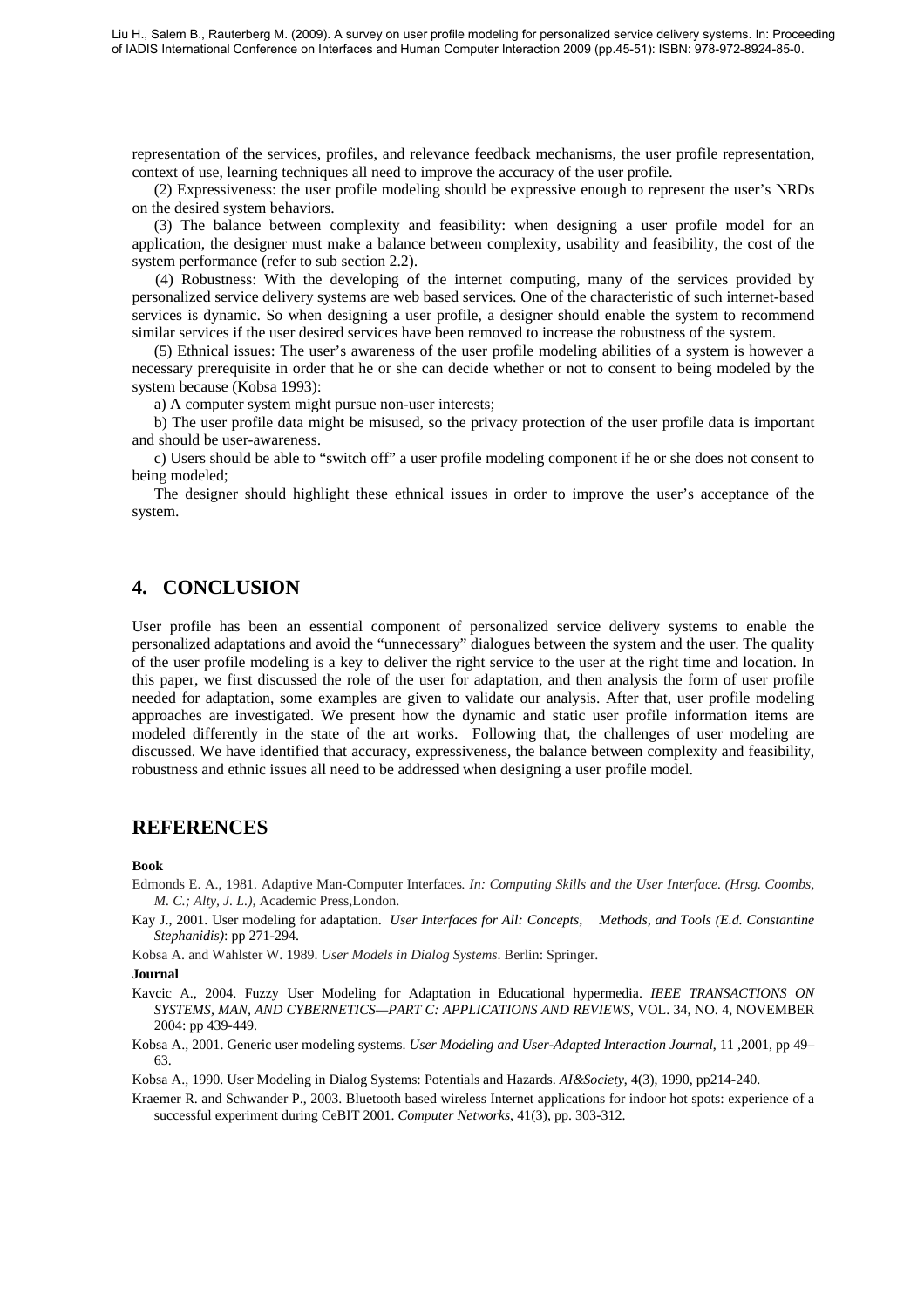representation of the services, profiles, and relevance feedback mechanisms, the user profile representation, context of use, learning techniques all need to improve the accuracy of the user profile.

(2) Expressiveness: the user profile modeling should be expressive enough to represent the user's NRDs on the desired system behaviors.

(3) The balance between complexity and feasibility: when designing a user profile model for an application, the designer must make a balance between complexity, usability and feasibility, the cost of the system performance (refer to sub section 2.2).

 (4) Robustness: With the developing of the internet computing, many of the services provided by personalized service delivery systems are web based services. One of the characteristic of such internet-based services is dynamic. So when designing a user profile, a designer should enable the system to recommend similar services if the user desired services have been removed to increase the robustness of the system.

(5) Ethnical issues: The user's awareness of the user profile modeling abilities of a system is however a necessary prerequisite in order that he or she can decide whether or not to consent to being modeled by the system because (Kobsa 1993):

a) A computer system might pursue non-user interests;

b) The user profile data might be misused, so the privacy protection of the user profile data is important and should be user-awareness.

c) Users should be able to "switch off" a user profile modeling component if he or she does not consent to being modeled;

The designer should highlight these ethnical issues in order to improve the user's acceptance of the system.

### **4. CONCLUSION**

User profile has been an essential component of personalized service delivery systems to enable the personalized adaptations and avoid the "unnecessary" dialogues between the system and the user. The quality of the user profile modeling is a key to deliver the right service to the user at the right time and location. In this paper, we first discussed the role of the user for adaptation, and then analysis the form of user profile needed for adaptation, some examples are given to validate our analysis. After that, user profile modeling approaches are investigated. We present how the dynamic and static user profile information items are modeled differently in the state of the art works. Following that, the challenges of user modeling are discussed. We have identified that accuracy, expressiveness, the balance between complexity and feasibility, robustness and ethnic issues all need to be addressed when designing a user profile model.

### **REFERENCES**

#### **Book**

Edmonds E. A., 1981*.* Adaptive Man-Computer Interfaces*. In: Computing Skills and the User Interface. (Hrsg. Coombs, M. C.; Alty, J. L.),* Academic Press,London.

Kay J., 2001. User modeling for adaptation. *User Interfaces for All: Concepts, Methods, and Tools (E.d. Constantine Stephanidis)*: pp 271-294.

Kobsa A. and Wahlster W. 1989. *User Models in Dialog Systems*. Berlin: Springer.

#### **Journal**

Kavcic A., 2004. Fuzzy User Modeling for Adaptation in Educational hypermedia. *IEEE TRANSACTIONS ON SYSTEMS, MAN, AND CYBERNETICS—PART C: APPLICATIONS AND REVIEWS*, VOL. 34, NO. 4, NOVEMBER 2004: pp 439-449.

Kobsa A., 2001. Generic user modeling systems. *User Modeling and User-Adapted Interaction Journal*, 11 ,2001, pp 49– 63.

Kobsa A., 1990. User Modeling in Dialog Systems: Potentials and Hazards. *AI&Society*, 4(3), 1990, pp214-240.

Kraemer R. and Schwander P., 2003. Bluetooth based wireless Internet applications for indoor hot spots: experience of a successful experiment during CeBIT 2001. *Computer Networks*, 41(3), pp. 303-312.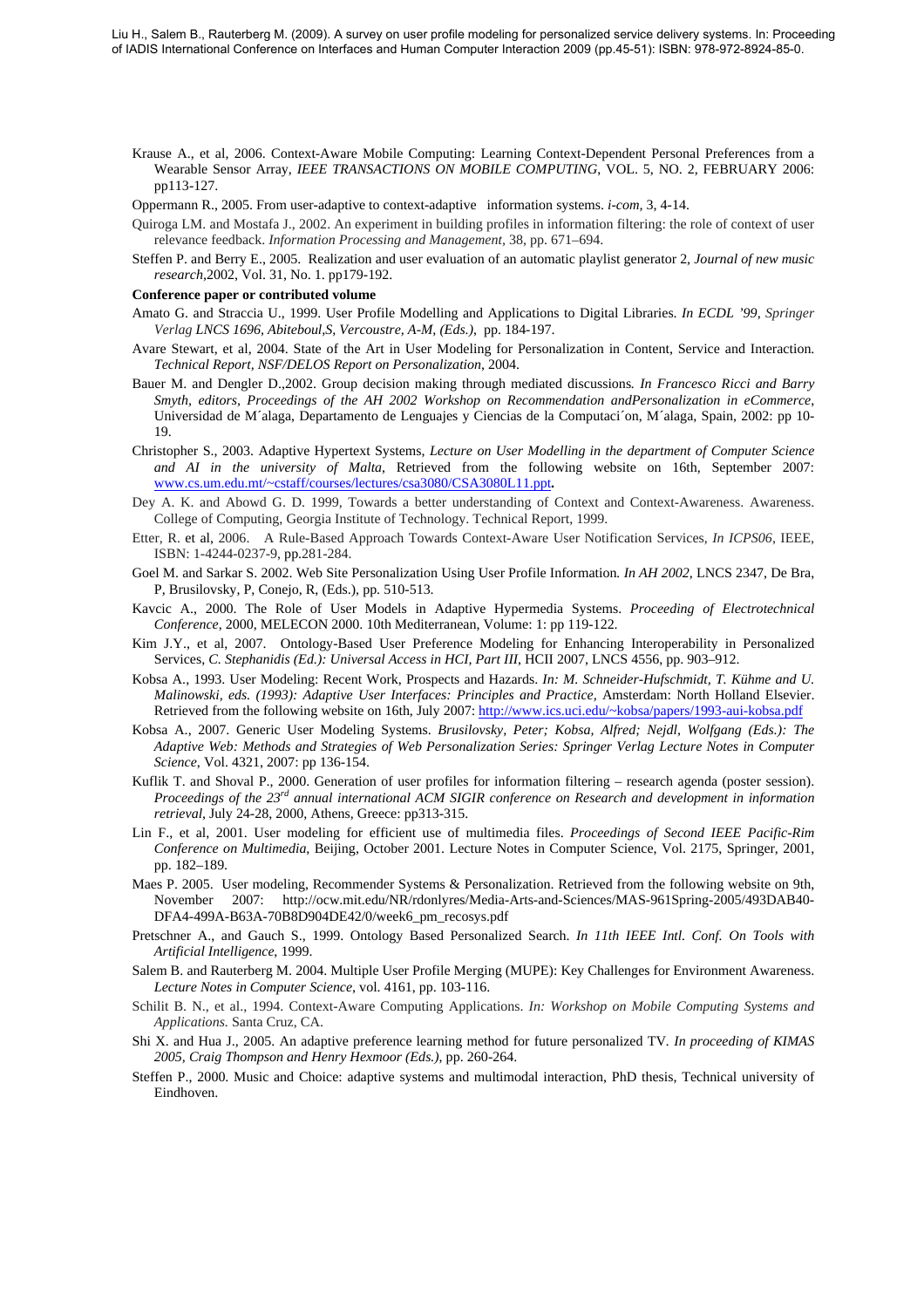- Krause A., et al, 2006. Context-Aware Mobile Computing: Learning Context-Dependent Personal Preferences from a Wearable Sensor Array, *IEEE TRANSACTIONS ON MOBILE COMPUTING*, VOL. 5, NO. 2, FEBRUARY 2006: pp113-127.
- Oppermann R., 2005. From user-adaptive to context-adaptive information systems. *i-com,* 3, 4-14.
- Quiroga LM. and Mostafa J., 2002. An experiment in building profiles in information filtering: the role of context of user relevance feedback. *Information Processing and Management,* 38, pp. 671–694.
- Steffen P. and Berry E., 2005. Realization and user evaluation of an automatic playlist generator 2*, Journal of new music research,*2002, Vol. 31, No. 1. pp179-192.
- **Conference paper or contributed volume**
- Amato G. and Straccia U., 1999. User Profile Modelling and Applications to Digital Libraries. *In ECDL '99, Springer Verlag LNCS 1696, Abiteboul,S, Vercoustre, A-M, (Eds.)*, pp. 184-197.
- Avare Stewart, et al, 2004. State of the Art in User Modeling for Personalization in Content, Service and Interaction. *Technical Report, NSF/DELOS Report on Personalization*, 2004.
- Bauer M. and Dengler D.,2002. Group decision making through mediated discussions*. In Francesco Ricci and Barry Smyth, editors, Proceedings of the AH 2002 Workshop on Recommendation andPersonalization in eCommerce*, Universidad de M´alaga, Departamento de Lenguajes y Ciencias de la Computaci´on, M´alaga, Spain, 2002: pp 10- 19.
- Christopher S., 2003. Adaptive Hypertext Systems, *Lecture on User Modelling in the department of Computer Science and AI in the university of Malta*, Retrieved from the following website on 16th, September 2007: [www.cs.um.edu.mt/~cstaff/courses/lectures/csa3080/CSA3080L11.ppt](http://www.cs.um.edu.mt/%7Ecstaff/courses/lectures/csa3080/CSA3080L11.ppt)**.**
- Dey A. K. and Abowd G. D. 1999, Towards a better understanding of Context and Context-Awareness. Awareness. College of Computing, Georgia Institute of Technology. Technical Report, 1999.
- Etter, R. et al, 2006. A Rule-Based Approach Towards Context-Aware User Notification Services, *In ICPS06*, IEEE, ISBN: 1-4244-0237-9, pp.281-284.
- Goel M. and Sarkar S. 2002. Web Site Personalization Using User Profile Information*. In AH 2002*, LNCS 2347, De Bra, P, Brusilovsky, P, Conejo, R, (Eds.), pp. 510-513.
- Kavcic A., 2000. The Role of User Models in Adaptive Hypermedia Systems. *Proceeding of Electrotechnical Conference*, 2000, MELECON 2000. 10th Mediterranean, Volume: 1: pp 119-122.
- Kim J.Y., et al, 2007. Ontology-Based User Preference Modeling for Enhancing Interoperability in Personalized Services, *C. Stephanidis (Ed.): Universal Access in HCI, Part III*, HCII 2007, LNCS 4556, pp. 903–912.
- Kobsa A., 1993. User Modeling: Recent Work, Prospects and Hazards. *In: M. Schneider-Hufschmidt, T. Kühme and U. Malinowski, eds. (1993): Adaptive User Interfaces: Principles and Practice,* Amsterdam: North Holland Elsevier. Retrieved from the following website on 16th, July 2007: [http://www.ics.uci.edu/~kobsa/papers/1993-aui-kobsa.pdf](http://www.ics.uci.edu/%7Ekobsa/papers/1993-aui-kobsa.pdf)
- Kobsa A., 2007. Generic User Modeling Systems. *Brusilovsky, Peter; Kobsa, Alfred; Nejdl, Wolfgang (Eds.): The Adaptive Web: Methods and Strategies of Web Personalization Series: Springer Verlag Lecture Notes in Computer Science*, Vol. 4321, 2007: pp 136-154.
- Kuflik T. and Shoval P., 2000. Generation of user profiles for information filtering research agenda (poster session). *Proceedings of the 23rd annual international ACM SIGIR conference on Research and development in information retrieval*, July 24-28, 2000, Athens, Greece: pp313-315.
- Lin F., et al, 2001. User modeling for efficient use of multimedia files. *Proceedings of Second IEEE Pacific-Rim Conference on Multimedia*, Beijing, October 2001. Lecture Notes in Computer Science, Vol. 2175, Springer, 2001, pp. 182–189.
- Maes P. 2005. User modeling, Recommender Systems & Personalization. Retrieved from the following website on 9th, November 2007: http://ocw.mit.edu/NR/rdonlyres/Media-Arts-and-Sciences/MAS-961Spring-2005/493DAB40- DFA4-499A-B63A-70B8D904DE42/0/week6\_pm\_recosys.pdf
- Pretschner A., and Gauch S., 1999. Ontology Based Personalized Search. *In 11th IEEE Intl. Conf. On Tools with Artificial Intelligence*, 1999.
- Salem B. and Rauterberg M. 2004. Multiple User Profile Merging (MUPE): Key Challenges for Environment Awareness. *Lecture Notes in Computer Science*, vol. 4161, pp. 103-116.
- Schilit B. N., et al., 1994. Context-Aware Computing Applications. *In: Workshop on Mobile Computing Systems and Applications.* Santa Cruz, CA.
- Shi X. and Hua J., 2005. An adaptive preference learning method for future personalized TV*. In proceeding of KIMAS 2005, Craig Thompson and Henry Hexmoor (Eds.)*, pp. 260-264.
- Steffen P., 2000. Music and Choice: adaptive systems and multimodal interaction, PhD thesis, Technical university of Eindhoven.